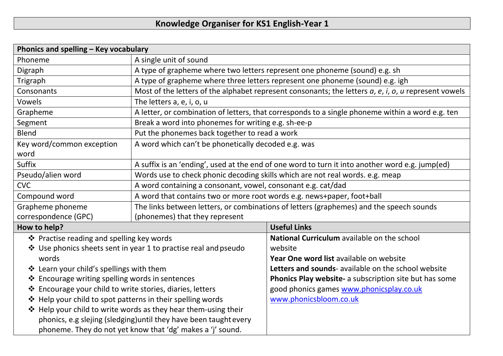## **Knowledge Organiser for KS1 English-Year 1**

| Phonics and spelling - Key vocabulary                                                                                                                                                                                                                                                                                                                                                                                                                                                  |                                                                                                                    |                                                                                                                                                                                                                                                                                          |  |  |
|----------------------------------------------------------------------------------------------------------------------------------------------------------------------------------------------------------------------------------------------------------------------------------------------------------------------------------------------------------------------------------------------------------------------------------------------------------------------------------------|--------------------------------------------------------------------------------------------------------------------|------------------------------------------------------------------------------------------------------------------------------------------------------------------------------------------------------------------------------------------------------------------------------------------|--|--|
| Phoneme                                                                                                                                                                                                                                                                                                                                                                                                                                                                                | A single unit of sound                                                                                             |                                                                                                                                                                                                                                                                                          |  |  |
| Digraph                                                                                                                                                                                                                                                                                                                                                                                                                                                                                | A type of grapheme where two letters represent one phoneme (sound) e.g. sh                                         |                                                                                                                                                                                                                                                                                          |  |  |
| Trigraph                                                                                                                                                                                                                                                                                                                                                                                                                                                                               | A type of grapheme where three letters represent one phoneme (sound) e.g. igh                                      |                                                                                                                                                                                                                                                                                          |  |  |
| Consonants                                                                                                                                                                                                                                                                                                                                                                                                                                                                             | Most of the letters of the alphabet represent consonants; the letters $a$ , $e$ , $i$ , $o$ , $u$ represent vowels |                                                                                                                                                                                                                                                                                          |  |  |
| Vowels                                                                                                                                                                                                                                                                                                                                                                                                                                                                                 | The letters a, e, i, o, u                                                                                          |                                                                                                                                                                                                                                                                                          |  |  |
| Grapheme                                                                                                                                                                                                                                                                                                                                                                                                                                                                               | A letter, or combination of letters, that corresponds to a single phoneme within a word e.g. ten                   |                                                                                                                                                                                                                                                                                          |  |  |
| Segment                                                                                                                                                                                                                                                                                                                                                                                                                                                                                | Break a word into phonemes for writing e.g. sh-ee-p                                                                |                                                                                                                                                                                                                                                                                          |  |  |
| <b>Blend</b>                                                                                                                                                                                                                                                                                                                                                                                                                                                                           | Put the phonemes back together to read a work                                                                      |                                                                                                                                                                                                                                                                                          |  |  |
| Key word/common exception<br>word                                                                                                                                                                                                                                                                                                                                                                                                                                                      | A word which can't be phonetically decoded e.g. was                                                                |                                                                                                                                                                                                                                                                                          |  |  |
| Suffix                                                                                                                                                                                                                                                                                                                                                                                                                                                                                 | A suffix is an 'ending', used at the end of one word to turn it into another word e.g. jump(ed)                    |                                                                                                                                                                                                                                                                                          |  |  |
| Pseudo/alien word                                                                                                                                                                                                                                                                                                                                                                                                                                                                      | Words use to check phonic decoding skills which are not real words. e.g. meap                                      |                                                                                                                                                                                                                                                                                          |  |  |
| <b>CVC</b>                                                                                                                                                                                                                                                                                                                                                                                                                                                                             | A word containing a consonant, vowel, consonant e.g. cat/dad                                                       |                                                                                                                                                                                                                                                                                          |  |  |
| Compound word                                                                                                                                                                                                                                                                                                                                                                                                                                                                          | A word that contains two or more root words e.g. news+paper, foot+ball                                             |                                                                                                                                                                                                                                                                                          |  |  |
| Grapheme phoneme                                                                                                                                                                                                                                                                                                                                                                                                                                                                       | The links between letters, or combinations of letters (graphemes) and the speech sounds                            |                                                                                                                                                                                                                                                                                          |  |  |
| correspondence (GPC)                                                                                                                                                                                                                                                                                                                                                                                                                                                                   | (phonemes) that they represent                                                                                     |                                                                                                                                                                                                                                                                                          |  |  |
| How to help?                                                                                                                                                                                                                                                                                                                                                                                                                                                                           |                                                                                                                    | <b>Useful Links</b>                                                                                                                                                                                                                                                                      |  |  |
| ❖ Practise reading and spelling key words<br>❖ Use phonics sheets sent in year 1 to practise real and pseudo<br>words<br>❖ Learn your child's spellings with them<br>❖ Encourage writing spelling words in sentences<br>❖ Encourage your child to write stories, diaries, letters<br>❖ Help your child to spot patterns in their spelling words<br>❖ Help your child to write words as they hear them-using their<br>phonics, e.g slejing (sledging) until they have been taught every |                                                                                                                    | National Curriculum available on the school<br>website<br>Year One word list available on website<br>Letters and sounds- available on the school website<br>Phonics Play website- a subscription site but has some<br>good phonics games www.phonicsplay.co.uk<br>www.phonicsbloom.co.uk |  |  |
| phoneme. They do not yet know that 'dg' makes a 'j' sound.                                                                                                                                                                                                                                                                                                                                                                                                                             |                                                                                                                    |                                                                                                                                                                                                                                                                                          |  |  |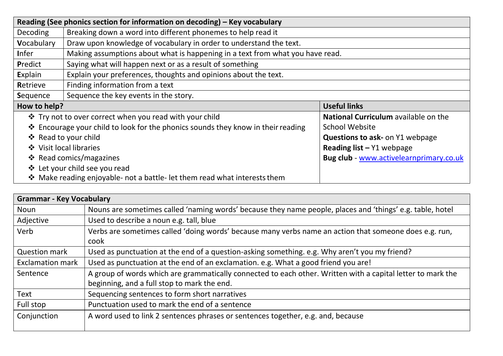| Reading (See phonics section for information on decoding) – Key vocabulary       |                                                                               |                                         |  |  |
|----------------------------------------------------------------------------------|-------------------------------------------------------------------------------|-----------------------------------------|--|--|
| Decoding                                                                         | Breaking down a word into different phonemes to help read it                  |                                         |  |  |
| Vocabulary                                                                       | Draw upon knowledge of vocabulary in order to understand the text.            |                                         |  |  |
| <b>I</b> nfer                                                                    | Making assumptions about what is happening in a text from what you have read. |                                         |  |  |
| Predict                                                                          | Saying what will happen next or as a result of something                      |                                         |  |  |
| Explain                                                                          | Explain your preferences, thoughts and opinions about the text.               |                                         |  |  |
| Retrieve                                                                         | Finding information from a text                                               |                                         |  |  |
| Sequence                                                                         | Sequence the key events in the story.                                         |                                         |  |  |
| How to help?                                                                     |                                                                               | <b>Useful links</b>                     |  |  |
| ❖ Try not to over correct when you read with your child                          |                                                                               | National Curriculum available on the    |  |  |
| ❖ Encourage your child to look for the phonics sounds they know in their reading |                                                                               | <b>School Website</b>                   |  |  |
| ❖ Read to your child                                                             |                                                                               | <b>Questions to ask- on Y1 webpage</b>  |  |  |
| ❖ Visit local libraries                                                          |                                                                               | Reading list $-$ Y1 webpage             |  |  |
|                                                                                  | ❖ Read comics/magazines                                                       | Bug club - www.activelearnprimary.co.uk |  |  |
| ❖ Let your child see you read                                                    |                                                                               |                                         |  |  |
|                                                                                  | ❖ Make reading enjoyable- not a battle- let them read what interests them     |                                         |  |  |

| <b>Grammar - Key Vocabulary</b> |                                                                                                                                                            |  |  |
|---------------------------------|------------------------------------------------------------------------------------------------------------------------------------------------------------|--|--|
| Noun                            | Nouns are sometimes called 'naming words' because they name people, places and 'things' e.g. table, hotel                                                  |  |  |
| Adjective                       | Used to describe a noun e.g. tall, blue                                                                                                                    |  |  |
| Verb                            | Verbs are sometimes called 'doing words' because many verbs name an action that someone does e.g. run,<br>cook                                             |  |  |
| <b>Question mark</b>            | Used as punctuation at the end of a question-asking something. e.g. Why aren't you my friend?                                                              |  |  |
| <b>Exclamation mark</b>         | Used as punctuation at the end of an exclamation. e.g. What a good friend you are!                                                                         |  |  |
| Sentence                        | A group of words which are grammatically connected to each other. Written with a capital letter to mark the<br>beginning, and a full stop to mark the end. |  |  |
| Text                            | Sequencing sentences to form short narratives                                                                                                              |  |  |
| Full stop                       | Punctuation used to mark the end of a sentence                                                                                                             |  |  |
| Conjunction                     | A word used to link 2 sentences phrases or sentences together, e.g. and, because                                                                           |  |  |